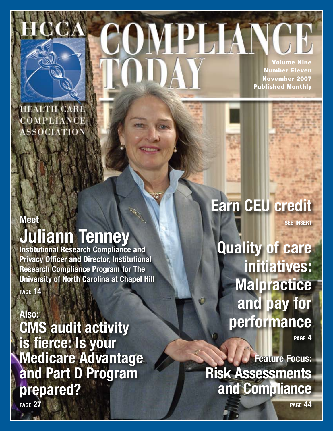

Volume Nine Number Eleven November 2007 Published Monthly

COMPLIANC

**HEALTH CARE** COMPLIANCE ASSOCIATION

### **Meet**

### **Juliann Tenney**

**Institutional Research Compliance and Privacy Officer and Director, Institutional Research Compliance Program for The University of North Carolina at Chapel Hill page 14**

**Also: CMS audit activity is fierce: Is your Medicare Advantage and Part D Program prepared?**

## **Earn CEU credit**

**see insert**

**Quality of care initiatives: Malpractice and pay for performance**

**page 4**

**Feature Focus: Risk Assessments and Compliance**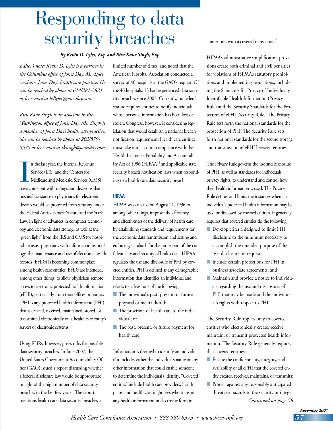# Responding to data security breaches

#### *By Kevin D. Lyles, Esq. and Ritu Kaur Singh, Esq.*

*Editor's note: Kevin D. Lyles is a partner in the Columbus office of Jones Day. Mr. Lyles co-chairs Jones Day's health care practice. He can be reached by phone at 614/281-3821 or by e-mail at kdlyles@jonesday.com.*

*Ritu Kaur Singh is an associate in the Washington office of Jones Day. Ms. Singh is a member of Jones Day's health care practice. She can be reached by phone at 202/879- 5575 or by e-mail at rksingh@jonesday.com.*

I n the last year, the Internal Revenue Service (IRS) and the Centers for Medicare and Medicaid Services (CMS) have come out with rulings and decisions that hospital assistance to physicians for electronic devices would be protected from scrutiny under the Federal Anti-kickback Statute and the Stark Law. In light of advances in computer technology and electronic data storage, as well as the "green light" from the IRS and CMS for hospitals to assist physicians with information technology, the maintenance and use of electronic health records (EHRs) is becoming commonplace among health care entities. EHRs are intended, among other things, to allow physicians remote access to electronic protected health information (ePHI), particularly from their offices or homes. ePHI is any protected health information (PHI) that is created, received, maintained, stored, or transmitted electronically on a health care entity's servers or electronic systems.

Using EHRs, however, poses risks for possible data security breaches. In June 2007, the United States Government Accountability Office (GAO) issued a report discussing whether a federal disclosure law would be appropriate in light of the high number of data security breaches in the last few years.<sup>1</sup> The report mentions health care data security breaches a

limited number of times, and noted that the American Hospital Association conducted a survey of 46 hospitals at the GAO's request. Of the 46 hospitals, 13 had experienced data security breaches since 2003. Currently, no federal statute requires entities to notify individuals whose personal information has been lost or stolen. Congress, however, is considering legislation that would establish a national breach notification requirement. Health care entities must take into account compliance with the Health Insurance Portability and Accountability Act of 1996 (HIPAA)2 and applicable state security breach notification laws when responding to a health care data security breach.

#### **HIPAA**

HIPAA was enacted on August 21, 1996 to, among other things, improve the efficiency and effectiveness of the delivery of health care by establishing standards and requirements for the electronic data transmission and setting and enforcing standards for the protection of the confidentiality and security of health data. HIPAA regulates the use and disclosure of PHI by covered entities. PHI is defined as any demographic information that identifies an individual and relates to at least one of the following:

- The individual's past, present, or future physical or mental health;
- n The provision of health care to the individual; or
- **n** The past, present, or future payment for health care.

Information is deemed to identify an individual if it includes either the individual's name or any other information that could enable someone to determine the individual's identity. "Covered entities" include health care providers, health plans, and health clearinghouses who transmit any health information in electronic form in

connection with a covered transaction.<sup>3</sup>

HIPAA's administrative simplification provisions create both criminal and civil penalties for violations of HIPAA's statutory prohibitions and implementing regulations, including the Standards for Privacy of Individually Identifiable Health Information (Privacy Rule) and the Security Standards for the Protection of ePHI (Security Rule). The Privacy Rule sets forth the national standards for the protection of PHI. The Security Rule sets forth national standards for the secure storage and transmission of ePHI between entities.

The Privacy Rule governs the use and disclosure of PHI, as well as standards for individuals' privacy rights, to understand and control how their health information is used. The Privacy Rule defines and limits the instances when an individual's protected health information may be used or disclosed by covered entities. It generally requires that covered entities do the following:

- **n** Develop criteria designed to limit PHI disclosure to the minimum necessary to accomplish the intended purpose of the use, disclosure, or request;
- **n** Include certain protections for PHI in business associate agreements; and
- **n** Maintain and provide a notice to individuals regarding the use and disclosures of PHI that may be made and the individual's rights with respect to PHI.

The Security Rule applies only to covered entities who electronically create, receive, maintain, or transmit protected health information. The Security Rule generally requires that covered entities:

- **n** Ensure the confidentiality, integrity, and availability of all ePHI that the covered entity creates, receives, maintains, or transmits;
- **n** Protect against any reasonably anticipated threats or hazards to the security or integ-*Continued on page 58*